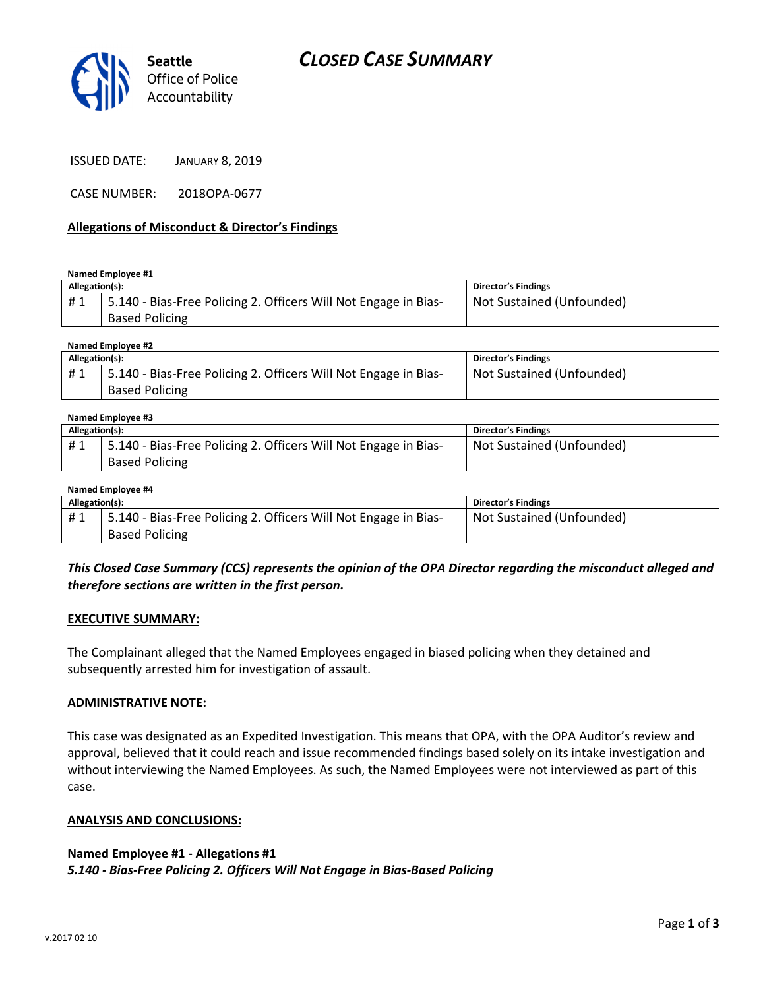

ISSUED DATE: JANUARY 8, 2019

CASE NUMBER: 2018OPA-0677

### Allegations of Misconduct & Director's Findings

Named Employee #1

| Allegation(s): |                                                                                          | <b>Director's Findings</b> |
|----------------|------------------------------------------------------------------------------------------|----------------------------|
| #1             | 5.140 - Bias-Free Policing 2. Officers Will Not Engage in Bias-<br><b>Based Policing</b> | Not Sustained (Unfounded)  |
|                |                                                                                          |                            |

Named Employee #2

| Allegation(s): |                                                                 | <b>Director's Findings</b> |
|----------------|-----------------------------------------------------------------|----------------------------|
| #1             | 5.140 - Bias-Free Policing 2. Officers Will Not Engage in Bias- | Not Sustained (Unfounded)  |
|                | <b>Based Policing</b>                                           |                            |

#### Named Employee #3

| Allegation(s): |                                                                 | <b>Director's Findings</b> |
|----------------|-----------------------------------------------------------------|----------------------------|
| #1             | 5.140 - Bias-Free Policing 2. Officers Will Not Engage in Bias- | Not Sustained (Unfounded)  |
|                | <b>Based Policing</b>                                           |                            |

#### Named Employee #4

| Allegation(s): |                                                                 | <b>Director's Findings</b> |
|----------------|-----------------------------------------------------------------|----------------------------|
| #1             | 5.140 - Bias-Free Policing 2. Officers Will Not Engage in Bias- | Not Sustained (Unfounded)  |
|                | <b>Based Policing</b>                                           |                            |

### This Closed Case Summary (CCS) represents the opinion of the OPA Director regarding the misconduct alleged and therefore sections are written in the first person.

### EXECUTIVE SUMMARY:

The Complainant alleged that the Named Employees engaged in biased policing when they detained and subsequently arrested him for investigation of assault.

### ADMINISTRATIVE NOTE:

This case was designated as an Expedited Investigation. This means that OPA, with the OPA Auditor's review and approval, believed that it could reach and issue recommended findings based solely on its intake investigation and without interviewing the Named Employees. As such, the Named Employees were not interviewed as part of this case.

### ANALYSIS AND CONCLUSIONS:

### Named Employee #1 - Allegations #1

5.140 - Bias-Free Policing 2. Officers Will Not Engage in Bias-Based Policing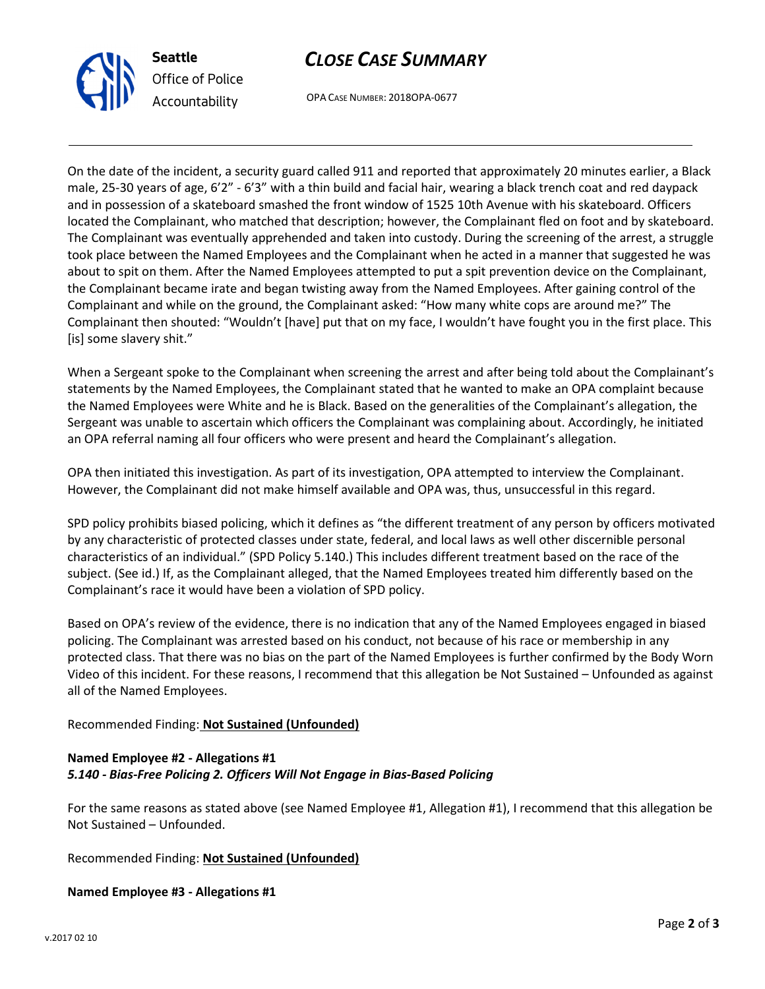

# CLOSE CASE SUMMARY

OPA CASE NUMBER: 2018OPA-0677

On the date of the incident, a security guard called 911 and reported that approximately 20 minutes earlier, a Black male, 25-30 years of age, 6'2" - 6'3" with a thin build and facial hair, wearing a black trench coat and red daypack and in possession of a skateboard smashed the front window of 1525 10th Avenue with his skateboard. Officers located the Complainant, who matched that description; however, the Complainant fled on foot and by skateboard. The Complainant was eventually apprehended and taken into custody. During the screening of the arrest, a struggle took place between the Named Employees and the Complainant when he acted in a manner that suggested he was about to spit on them. After the Named Employees attempted to put a spit prevention device on the Complainant, the Complainant became irate and began twisting away from the Named Employees. After gaining control of the Complainant and while on the ground, the Complainant asked: "How many white cops are around me?" The Complainant then shouted: "Wouldn't [have] put that on my face, I wouldn't have fought you in the first place. This [is] some slavery shit."

When a Sergeant spoke to the Complainant when screening the arrest and after being told about the Complainant's statements by the Named Employees, the Complainant stated that he wanted to make an OPA complaint because the Named Employees were White and he is Black. Based on the generalities of the Complainant's allegation, the Sergeant was unable to ascertain which officers the Complainant was complaining about. Accordingly, he initiated an OPA referral naming all four officers who were present and heard the Complainant's allegation.

OPA then initiated this investigation. As part of its investigation, OPA attempted to interview the Complainant. However, the Complainant did not make himself available and OPA was, thus, unsuccessful in this regard.

SPD policy prohibits biased policing, which it defines as "the different treatment of any person by officers motivated by any characteristic of protected classes under state, federal, and local laws as well other discernible personal characteristics of an individual." (SPD Policy 5.140.) This includes different treatment based on the race of the subject. (See id.) If, as the Complainant alleged, that the Named Employees treated him differently based on the Complainant's race it would have been a violation of SPD policy.

Based on OPA's review of the evidence, there is no indication that any of the Named Employees engaged in biased policing. The Complainant was arrested based on his conduct, not because of his race or membership in any protected class. That there was no bias on the part of the Named Employees is further confirmed by the Body Worn Video of this incident. For these reasons, I recommend that this allegation be Not Sustained – Unfounded as against all of the Named Employees.

## Recommended Finding: Not Sustained (Unfounded)

# Named Employee #2 - Allegations #1 5.140 - Bias-Free Policing 2. Officers Will Not Engage in Bias-Based Policing

For the same reasons as stated above (see Named Employee #1, Allegation #1), I recommend that this allegation be Not Sustained – Unfounded.

Recommended Finding: Not Sustained (Unfounded)

## Named Employee #3 - Allegations #1